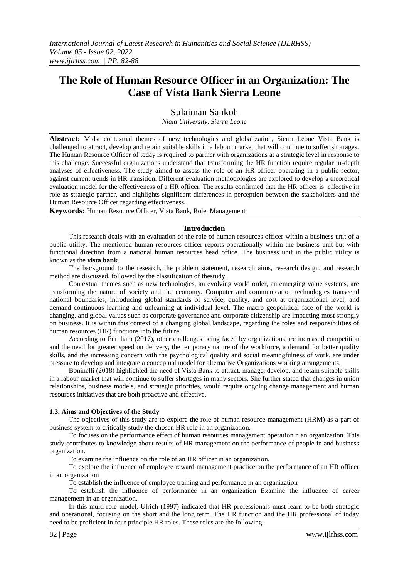# **The Role of Human Resource Officer in an Organization: The Case of Vista Bank Sierra Leone**

Sulaiman Sankoh

*Njala University, Sierra Leone*

**Abstract:** Midst contextual themes of new technologies and globalization, Sierra Leone Vista Bank is challenged to attract, develop and retain suitable skills in a labour market that will continue to suffer shortages. The Human Resource Officer of today is required to partner with organizations at a strategic level in response to this challenge. Successful organizations understand that transforming the HR function require regular in-depth analyses of effectiveness. The study aimed to assess the role of an HR officer operating in a public sector, against current trends in HR transition. Different evaluation methodologies are explored to develop a theoretical evaluation model for the effectiveness of a HR officer. The results confirmed that the HR officer is effective in role as strategic partner, and highlights significant differences in perception between the stakeholders and the Human Resource Officer regarding effectiveness.

**Keywords:** Human Resource Officer, Vista Bank, Role, Management

## **Introduction**

This research deals with an evaluation of the role of human resources officer within a business unit of a public utility. The mentioned human resources officer reports operationally within the business unit but with functional direction from a national human resources head office. The business unit in the public utility is known as the **vista bank**.

The background to the research, the problem statement, research aims, research design, and research method are discussed, followed by the classification of thestudy.

Contextual themes such as new technologies, an evolving world order, an emerging value systems, are transforming the nature of society and the economy. Computer and communication technologies transcend national boundaries, introducing global standards of service, quality, and cost at organizational level, and demand continuous learning and unlearning at individual level. The macro geopolitical face of the world is changing, and global values such as corporate governance and corporate citizenship are impacting most strongly on business. It is within this context of a changing global landscape, regarding the roles and responsibilities of human resources (HR) functions into the future.

According to Furnham (2017), other challenges being faced by organizations are increased competition and the need for greater speed on delivery, the temporary nature of the workforce, a demand for better quality skills, and the increasing concern with the psychological quality and social meaningfulness of work, are under pressure to develop and integrate a conceptual model for alternative Organizations working arrangements.

Boninelli (2018) highlighted the need of Vista Bank to attract, manage, develop, and retain suitable skills in a labour market that will continue to suffer shortages in many sectors. She further stated that changes in union relationships, business models, and strategic priorities, would require ongoing change management and human resources initiatives that are both proactive and effective.

## **1.3. Aims and Objectives of the Study**

The objectives of this study are to explore the role of human resource management (HRM) as a part of business system to critically study the chosen HR role in an organization.

To focuses on the performance effect of human resources management operation n an organization. This study contributes to knowledge about results of HR management on the performance of people in and business organization.

To examine the influence on the role of an HR officer in an organization.

To explore the influence of employee reward management practice on the performance of an HR officer in an organization

To establish the influence of employee training and performance in an organization

To establish the influence of performance in an organization Examine the influence of career management in an organization.

In this multi-role model, Ulrich (1997) indicated that HR professionals must learn to be both strategic and operational, focusing on the short and the long term. The HR function and the HR professional of today need to be proficient in four principle HR roles. These roles are the following: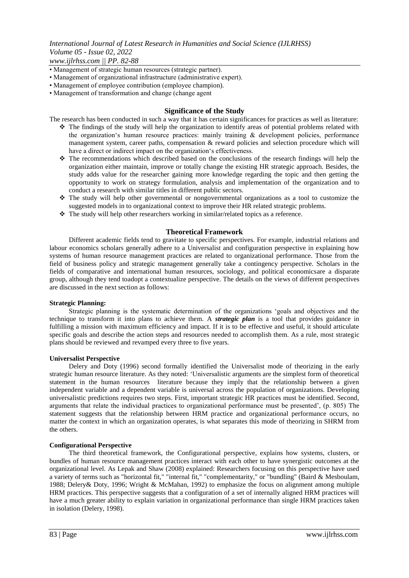# *International Journal of Latest Research in Humanities and Social Science (IJLRHSS) Volume 05 - Issue 02, 2022*

*www.ijlrhss.com || PP. 82-88*

- Management of strategic human resources (strategic partner).
- Management of organizational infrastructure (administrative expert).
- Management of employee contribution (employee champion).
- Management of transformation and change (change agent

## **Significance of the Study**

The research has been conducted in such a way that it has certain significances for practices as well as literature:

- $\hat{\mathbf{v}}$  The findings of the study will help the organization to identify areas of potential problems related with the organization's human resource practices: mainly training  $\&$  development policies, performance management system, career paths, compensation & reward policies and selection procedure which will have a direct or indirect impact on the organization's effectiveness.
- $\hat{\mathbf{v}}$  The recommendations which described based on the conclusions of the research findings will help the organization either maintain, improve or totally change the existing HR strategic approach. Besides, the study adds value for the researcher gaining more knowledge regarding the topic and then getting the opportunity to work on strategy formulation, analysis and implementation of the organization and to conduct a research with similar titles in different public sectors.
- The study will help other governmental or nongovernmental organizations as a tool to customize the suggested models in to organizational context to improve their HR related strategic problems.
- The study will help other researchers working in similar/related topics as a reference.

## **Theoretical Framework**

Different academic fields tend to gravitate to specific perspectives. For example, industrial relations and labour economics scholars generally adhere to a Universalist and configuration perspective in explaining how systems of human resource management practices are related to organizational performance. Those from the field of business policy and strategic management generally take a contingency perspective. Scholars in the fields of comparative and international human resources, sociology, and political economicsare a disparate group, although they tend toadopt a contextualize perspective. The details on the views of different perspectives are discussed in the next section as follows:

#### **Strategic Planning:**

Strategic planning is the systematic determination of the organizations "goals and objectives and the technique to transform it into plans to achieve them. A *strategic plan* is a tool that provides guidance in fulfilling a mission with maximum efficiency and impact. If it is to be effective and useful, it should articulate specific goals and describe the action steps and resources needed to accomplish them. As a rule, most strategic plans should be reviewed and revamped every three to five years.

#### **Universalist Perspective**

Delery and Doty (1996) second formally identified the Universalist mode of theorizing in the early strategic human resource literature. As they noted: "Universalistic arguments are the simplest form of theoretical statement in the human resources literature because they imply that the relationship between a given independent variable and a dependent variable is universal across the population of organizations. Developing universalistic predictions requires two steps. First, important strategic HR practices must be identified. Second, arguments that relate the individual practices to organizational performance must be presented', (p. 805) The statement suggests that the relationship between HRM practice and organizational performance occurs, no matter the context in which an organization operates, is what separates this mode of theorizing in SHRM from the others.

#### **Configurational Perspective**

The third theoretical framework, the Configurational perspective, explains how systems, clusters, or bundles of human resource management practices interact with each other to have synergistic outcomes at the organizational level. As Lepak and Shaw (2008) explained: Researchers focusing on this perspective have used a variety of terms such as "horizontal fit," "internal fit," "complementarity," or "bundling" (Baird & Mesboulam, 1988; Delery& Doty, 1996; Wright & McMahan, 1992) to emphasize the focus on alignment among multiple HRM practices. This perspective suggests that a configuration of a set of internally aligned HRM practices will have a much greater ability to explain variation in organizational performance than single HRM practices taken in isolation (Delery, 1998).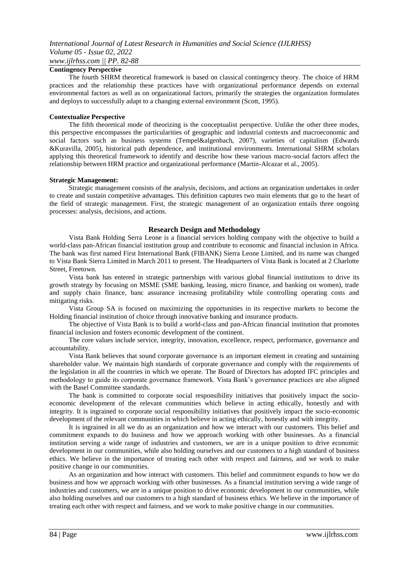## **Contingency Perspective**

The fourth SHRM theoretical framework is based on classical contingency theory. The choice of HRM practices and the relationship these practices have with organizational performance depends on external environmental factors as well as on organizational factors, primarily the strategies the organization formulates and deploys to successfully adapt to a changing external environment (Scott, 1995).

## **Contextualize Perspective**

The fifth theoretical mode of theorizing is the conceptualist perspective. Unlike the other three modes, this perspective encompasses the particularities of geographic and industrial contexts and macroeconomic and social factors such as business systems (Tempel&algenbach, 2007), varieties of capitalism (Edwards &Kuravilla, 2005), historical path dependence, and institutional environments. International SHRM scholars applying this theoretical framework to identify and describe how these various macro-social factors affect the relationship between HRM practice and organizational performance (Martin-Alcazar et al., 2005).

## **Strategic Management:**

Strategic management consists of the analysis, decisions, and actions an organization undertakes in order to create and sustain competitive advantages. This definition captures two main elements that go to the heart of the field of strategic management. First, the strategic management of an organization entails three ongoing processes: analysis, decisions, and actions.

# **Research Design and Methodology**

Vista Bank Holding Serra Leone is a financial services holding company with the objective to build a world-class pan-African financial institution group and contribute to economic and financial inclusion in Africa. The bank was first named First International Bank (FIBANK) Sierra Leone Limited, and its name was changed to Vista Bank Sierra Limited in March 2011 to present. The Headquarters of Vista Bank is located at 2 Charlotte Street, Freetown.

Vista bank has entered in strategic partnerships with various global financial institutions to drive its growth strategy by focusing on MSME (SME banking, leasing, micro finance, and banking on women), trade and supply chain finance, banc assurance increasing profitability while controlling operating costs and mitigating risks.

Vista Group SA is focused on maximizing the opportunities in its respective markets to become the Holding financial institution of choice through innovative banking and insurance products.

The objective of Vista Bank is to build a world-class and pan-African financial institution that promotes financial inclusion and fosters economic development of the continent.

The core values include service, integrity, innovation, excellence, respect, performance, governance and accountability.

Vista Bank believes that sound corporate governance is an important element in creating and sustaining shareholder value. We maintain high standards of corporate governance and comply with the requirements of the legislation in all the countries in which we operate. The Board of Directors has adopted IFC principles and methodology to guide its corporate governance framework. Vista Bank"s governance practices are also aligned with the Basel Committee standards.

The bank is committed to corporate social responsibility initiatives that positively impact the socioeconomic development of the relevant communities which believe in acting ethically, honestly and with integrity. It is ingrained to corporate social responsibility initiatives that positively impact the socio-economic development of the relevant communities in which believe in acting ethically, honestly and with integrity.

It is ingrained in all we do as an organization and how we interact with our customers. This belief and commitment expands to do business and how we approach working with other businesses. As a financial institution serving a wide range of industries and customers, we are in a unique position to drive economic development in our communities, while also holding ourselves and our customers to a high standard of business ethics. We believe in the importance of treating each other with respect and fairness, and we work to make positive change in our communities.

As an organization and how interact with customers. This belief and commitment expands to how we do business and how we approach working with other businesses. As a financial institution serving a wide range of industries and customers, we are in a unique position to drive economic development in our communities, while also holding ourselves and our customers to a high standard of business ethics. We believe in the importance of treating each other with respect and fairness, and we work to make positive change in our communities.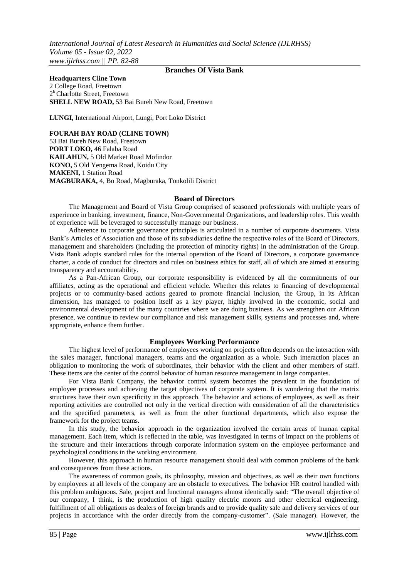# **Branches Of Vista Bank**

**Headquarters Cline Town** 2 College Road, Freetown 2<sup>b</sup> Charlotte Street, Freetown **SHELL NEW ROAD,** 53 Bai Bureh New Road, Freetown

**LUNGI,** International Airport, Lungi, Port Loko District

**FOURAH BAY ROAD (CLINE TOWN)** 53 Bai Bureh New Road, Freetown **PORT LOKO,** 46 Falaba Road **KAILAHUN,** 5 Old Market Road Mofindor **KONO,** 5 Old Yengema Road, Koidu City **MAKENI,** 1 Station Road **MAGBURAKA,** 4, Bo Road, Magburaka, Tonkolili District

## **Board of Directors**

The Management and Board of Vista Group comprised of seasoned professionals with multiple years of experience in banking, investment, finance, Non-Governmental Organizations, and leadership roles. This wealth of experience will be leveraged to successfully manage our business.

Adherence to corporate governance principles is articulated in a number of corporate documents. Vista Bank"s Articles of Association and those of its subsidiaries define the respective roles of the Board of Directors, management and shareholders (including the protection of minority rights) in the administration of the Group. Vista Bank adopts standard rules for the internal operation of the Board of Directors, a corporate governance charter, a code of conduct for directors and rules on business ethics for staff, all of which are aimed at ensuring transparency and accountability.

As a Pan-African Group, our corporate responsibility is evidenced by all the commitments of our affiliates, acting as the operational and efficient vehicle. Whether this relates to financing of developmental projects or to community-based actions geared to promote financial inclusion, the Group, in its African dimension, has managed to position itself as a key player, highly involved in the economic, social and environmental development of the many countries where we are doing business. As we strengthen our African presence, we continue to review our compliance and risk management skills, systems and processes and, where appropriate, enhance them further.

# **Employees Working Performance**

The highest level of performance of employees working on projects often depends on the interaction with the sales manager, functional managers, teams and the organization as a whole. Such interaction places an obligation to monitoring the work of subordinates, their behavior with the client and other members of staff. These items are the center of the control behavior of human resource management in large companies.

For Vista Bank Company, the behavior control system becomes the prevalent in the foundation of employee processes and achieving the target objectives of corporate system. It is wondering that the matrix structures have their own specificity in this approach. The behavior and actions of employees, as well as their reporting activities are controlled not only in the vertical direction with consideration of all the characteristics and the specified parameters, as well as from the other functional departments, which also expose the framework for the project teams.

In this study, the behavior approach in the organization involved the certain areas of human capital management. Each item, which is reflected in the table, was investigated in terms of impact on the problems of the structure and their interactions through corporate information system on the employee performance and psychological conditions in the working environment.

However, this approach in human resource management should deal with common problems of the bank and consequences from these actions.

The awareness of common goals, its philosophy, mission and objectives, as well as their own functions by employees at all levels of the company are an obstacle to executives. The behavior HR control handled with this problem ambiguous. Sale, project and functional managers almost identically said: "The overall objective of our company, I think, is the production of high quality electric motors and other electrical engineering, fulfillment of all obligations as dealers of foreign brands and to provide quality sale and delivery services of our projects in accordance with the order directly from the company-customer". (Sale manager). However, the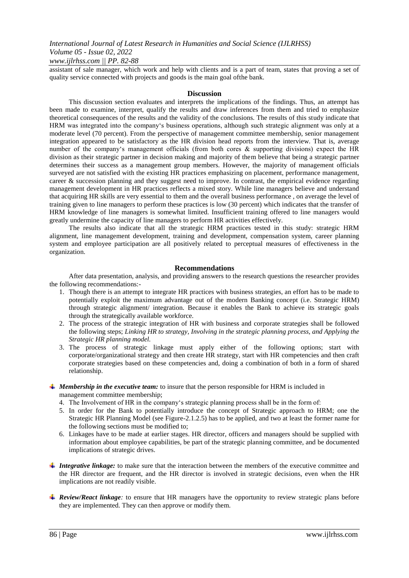*International Journal of Latest Research in Humanities and Social Science (IJLRHSS) Volume 05 - Issue 02, 2022*

# *www.ijlrhss.com || PP. 82-88*

assistant of sale manager, which work and help with clients and is a part of team, states that proving a set of quality service connected with projects and goods is the main goal ofthe bank.

#### **Discussion**

This discussion section evaluates and interprets the implications of the findings. Thus, an attempt has been made to examine, interpret, qualify the results and draw inferences from them and tried to emphasize theoretical consequences of the results and the validity of the conclusions. The results of this study indicate that HRM was integrated into the company"s business operations, although such strategic alignment was only at a moderate level (70 percent). From the perspective of management committee membership, senior management integration appeared to be satisfactory as the HR division head reports from the interview. That is, average number of the company's management officials (from both cores & supporting divisions) expect the HR division as their strategic partner in decision making and majority of them believe that being a strategic partner determines their success as a management group members. However, the majority of management officials surveyed are not satisfied with the existing HR practices emphasizing on placement, performance management, career & succession planning and they suggest need to improve. In contrast, the empirical evidence regarding management development in HR practices reflects a mixed story. While line managers believe and understand that acquiring HR skills are very essential to them and the overall business performance , on average the level of training given to line managers to perform these practices is low (30 percent) which indicates that the transfer of HRM knowledge of line managers is somewhat limited. Insufficient training offered to line managers would greatly undermine the capacity of line managers to perform HR activities effectively.

The results also indicate that all the strategic HRM practices tested in this study: strategic HRM alignment, line management development, training and development, compensation system, career planning system and employee participation are all positively related to perceptual measures of effectiveness in the organization.

# **Recommendations**

After data presentation, analysis, and providing answers to the research questions the researcher provides the following recommendations:-

- 1. Though there is an attempt to integrate HR practices with business strategies, an effort has to be made to potentially exploit the maximum advantage out of the modern Banking concept (i.e. Strategic HRM) through strategic alignment/ integration. Because it enables the Bank to achieve its strategic goals through the strategically available workforce.
- 2. The process of the strategic integration of HR with business and corporate strategies shall be followed the following steps; *Linking HR to strategy, Involving in the strategic planning process, and Applying the Strategic HR planning model.*
- 3. The process of strategic linkage must apply either of the following options; start with corporate/organizational strategy and then create HR strategy, start with HR competencies and then craft corporate strategies based on these competencies and, doing a combination of both in a form of shared relationship.
- *Membership in the executive team:* to insure that the person responsible for HRM is included in management committee membership;
	- 4. The Involvement of HR in the company"s strategic planning process shall be in the form of:
	- 5. In order for the Bank to potentially introduce the concept of Strategic approach to HRM; one the Strategic HR Planning Model (see Figure-2.1.2.5) has to be applied, and two at least the former name for the following sections must be modified to;
	- 6. Linkages have to be made at earlier stages. HR director, officers and managers should be supplied with information about employee capabilities, be part of the strategic planning committee, and be documented implications of strategic drives.
- *Integrative linkage:* to make sure that the interaction between the members of the executive committee and the HR director are frequent, and the HR director is involved in strategic decisions, even when the HR implications are not readily visible.
- *Review/React linkage:* to ensure that HR managers have the opportunity to review strategic plans before they are implemented. They can then approve or modify them.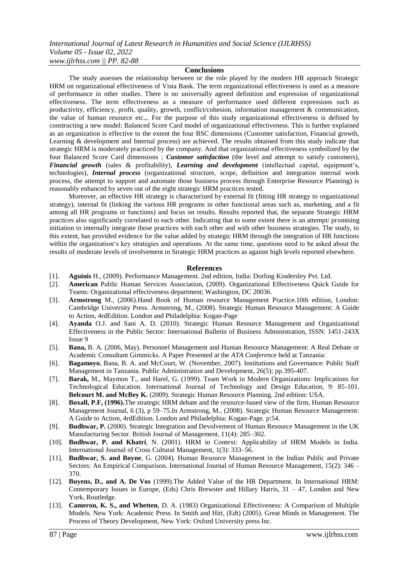*International Journal of Latest Research in Humanities and Social Science (IJLRHSS) Volume 05 - Issue 02, 2022 www.ijlrhss.com || PP. 82-88*

#### **Conclusions**

The study assesses the relationship between or the role played by the modern HR approach Strategic HRM on organizational effectiveness of Vista Bank. The term organizational effectiveness is used as a measure of performance in other studies. There is no universally agreed definition and expression of organizational effectiveness. The term effectiveness as a measure of performance used different expressions such as productivity, efficiency, profit, quality, growth, conflict/cohesion, information management & communication, the value of human resource etc.,. For the purpose of this study organizational effectiveness is defined by constructing a new model: Balanced Score Card model of organizational effectiveness. This is further explained as an organization is effective to the extent the four BSC dimensions (Customer satisfaction, Financial growth, Learning & development and Internal process) are achieved. The results obtained from this study indicate that strategic HRM is moderately practiced by the company. And that organizational effectiveness symbolized by the four Balanced Score Card dimensions ; *Customer satisfaction* (the level and attempt to satisfy customers), *Financial growth* (sales & profitability), *Learning and development* (intellectual capital, equipment"s, technologies), *Internal process* (organizational structure, scope, definition and integration internal work process, the attempt to support and automate those business process through Enterprise Resource Planning) is reasonably enhanced by seven out of the eight strategic HRM practices tested.

Moreover, an effective HR strategy is characterized by external fit (fitting HR strategy to organizational strategy), internal fit (linking the various HR programs in other functional areas such as, marketing, and a fit among all HR programs or functions) and focus on results. Results reported that, the separate Strategic HRM practices also significantly correlated to each other. Indicating that to some extent there is an attempt/ promising initiation to internally integrate those practices with each other and with other business strategies. The study, to this extent, has provided evidence for the value added by strategic HRM through the integration of HR functions within the organization's key strategies and operations. At the same time, questions need to be asked about the results of moderate levels of involvement in Strategic HRM practices as against high levels reported elsewhere.

#### **References**

- [1]. **Aguinis** H., (2009). Performance Management. 2nd edition, India: Dorling Kindersley Pvt. Ltd.
- [2]. **American** Public Human Services Association, (2009). Organizational Effectiveness Quick Guide for Teams: Organizational effectiveness department; Washington, DC 20036.
- [3]. **Armstrong** M., (2006).Hand Book of Human resource Management Practice.10th edition, London: Cambridge University Press. Armstrong, M., (2008). Strategic Human Resource Management: A Guide to Action, 4rdEdition. London and Philadelphia: Kogan-Page
- [4]. **Ayanda** O.J. and Sani A. D. (2010). Strategic Human Resource Management and Organizational Effectiveness in the Public Sector: International Bulletin of Business Administration, ISSN: 1451-243X Issue 9
- [5]. **Bana,** B. A. (2006, May). Personnel Management and Human Resource Management: A Real Debate or Academic Consultant Gimmicks. A Paper Presented at the *ATA Conference* held at Tanzania:
- [6]. **Bagamoyo.** Bana, B. A. and McCourt, W. (November, 2007). Institutions and Governance: Public Staff Management in Tanzania. Public Administration and Development, 26(5); pp.395-407.
- [7]. **Barak,** M., Maymon T., and Harel, G. (1999). Team Work in Modern Organizations: Implications for Technological Education. International Journal of Technology and Design Education, 9: 85-101. **Belcourt M. and McBey K.** (2009). Strategic Human Resource Planning. 2nd edition: USA.
- [8]. **Boxall, P.F, (1996).**The strategic HRM debate and the resource-based view of the firm, Human Resource Management Journal, 6 (3), p 59–75.In Armstrong, M., (2008). Strategic Human Resource Management: A Guide to Action, 4rdEdition. London and Philadelphia: Kogan-Page. p:54.
- [9]. **Budhwar, P.** (2000). Strategic Integration and Devolvement of Human Resource Management in the UK Manufacturing Sector. British Journal of Management, 11(4): 285–302.
- [10]. **Budhwar, P. and Khatri**, N. (2001). HRM in Context: Applicability of HRM Models in India. International Journal of Cross Cultural Management*,* 1(3): 333–56.
- [11]. **Budhwar, S. and Boyne**, G. (2004). Human Resource Management in the Indian Public and Private Sectors: An Empirical Comparison. International Journal of Human Resource Management, 15(2): 346 – 370.
- [12]. **Buyens, D., and A. De Vos** (1999).The Added Value of the HR Department. In International HRM: Contemporary Issues in Europe, (Eds) Chris Brewster and Hillary Harris,  $31 - 47$ , London and New York, Routledge.
- [13]. **Cameron, K. S., and Whetten**, D. A. (1983) Organizational Effectiveness: A Comparison of Multiple Models. New York: Academic Press. In Smith and Hitt, (Edt) (2005). Great Minds in Management. The Process of Theory Development, New York: Oxford University press Inc.